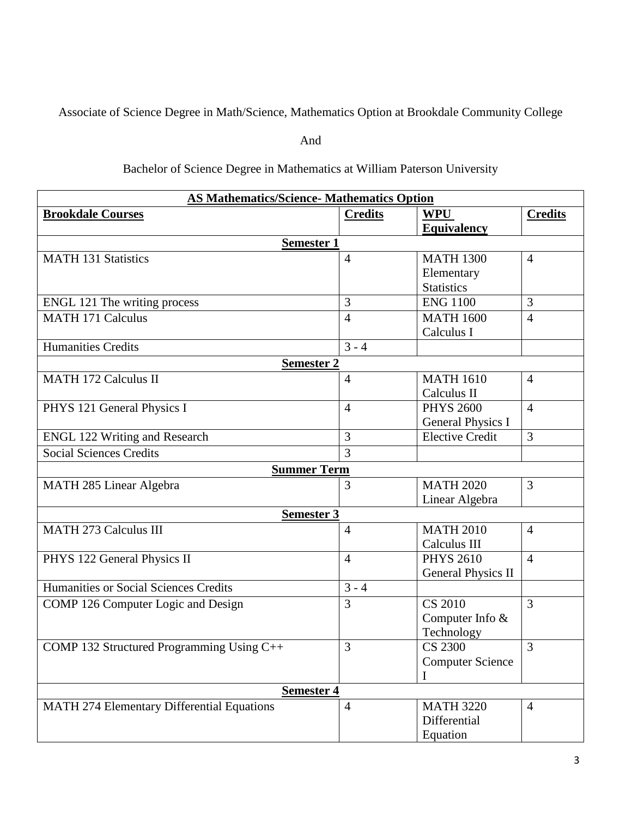Associate of Science Degree in Math/Science, Mathematics Option at Brookdale Community College

And

## Bachelor of Science Degree in Mathematics at William Paterson University

| <b>AS Mathematics/Science- Mathematics Option</b> |                |                           |                |  |  |
|---------------------------------------------------|----------------|---------------------------|----------------|--|--|
| <b>Brookdale Courses</b>                          | <b>Credits</b> | <b>WPU</b>                | <b>Credits</b> |  |  |
|                                                   |                | <b>Equivalency</b>        |                |  |  |
| <b>Semester 1</b>                                 |                |                           |                |  |  |
| <b>MATH 131 Statistics</b>                        | $\overline{4}$ | <b>MATH 1300</b>          | $\overline{4}$ |  |  |
|                                                   |                | Elementary                |                |  |  |
|                                                   |                | <b>Statistics</b>         |                |  |  |
| ENGL 121 The writing process                      | 3              | <b>ENG 1100</b>           | 3              |  |  |
| <b>MATH 171 Calculus</b>                          | 4              | <b>MATH 1600</b>          | $\overline{4}$ |  |  |
|                                                   |                | Calculus I                |                |  |  |
| <b>Humanities Credits</b>                         | $3 - 4$        |                           |                |  |  |
| <b>Semester 2</b>                                 |                |                           |                |  |  |
| <b>MATH 172 Calculus II</b>                       | $\overline{4}$ | <b>MATH 1610</b>          | $\overline{4}$ |  |  |
|                                                   |                | Calculus II               |                |  |  |
| PHYS 121 General Physics I                        | 4              | <b>PHYS 2600</b>          | $\overline{4}$ |  |  |
|                                                   |                | General Physics I         |                |  |  |
| <b>ENGL 122 Writing and Research</b>              | 3              | <b>Elective Credit</b>    | $\overline{3}$ |  |  |
| <b>Social Sciences Credits</b>                    | 3              |                           |                |  |  |
| <b>Summer Term</b>                                |                |                           |                |  |  |
| MATH 285 Linear Algebra                           | 3              | <b>MATH 2020</b>          | 3              |  |  |
|                                                   |                | Linear Algebra            |                |  |  |
| <b>Semester 3</b>                                 |                |                           |                |  |  |
| <b>MATH 273 Calculus III</b>                      | $\overline{4}$ | <b>MATH 2010</b>          | $\overline{4}$ |  |  |
|                                                   |                | Calculus III              |                |  |  |
| PHYS 122 General Physics II                       | $\overline{4}$ | <b>PHYS 2610</b>          | $\overline{4}$ |  |  |
|                                                   |                | <b>General Physics II</b> |                |  |  |
| Humanities or Social Sciences Credits             | $3 - 4$        |                           |                |  |  |
| COMP 126 Computer Logic and Design                | 3              | <b>CS 2010</b>            | $\overline{3}$ |  |  |
|                                                   |                | Computer Info &           |                |  |  |
|                                                   |                | Technology                |                |  |  |
| COMP 132 Structured Programming Using C++         | 3              | <b>CS 2300</b>            | 3              |  |  |
|                                                   |                | <b>Computer Science</b>   |                |  |  |
|                                                   |                |                           |                |  |  |
| <b>Semester 4</b>                                 |                |                           |                |  |  |
| <b>MATH 274 Elementary Differential Equations</b> | $\overline{4}$ | <b>MATH 3220</b>          | $\overline{4}$ |  |  |
|                                                   |                | Differential              |                |  |  |
|                                                   |                | Equation                  |                |  |  |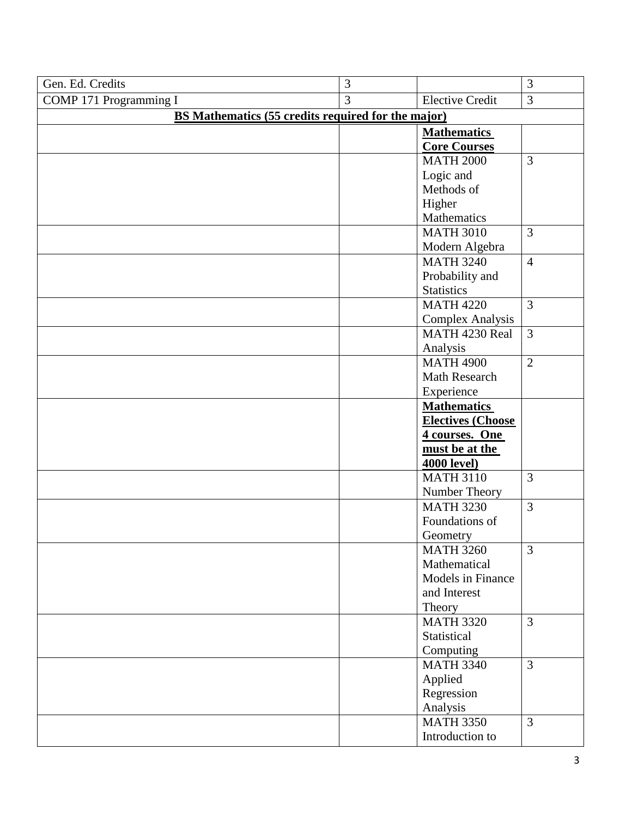| Gen. Ed. Credits                                          | 3 |                          | 3              |  |  |
|-----------------------------------------------------------|---|--------------------------|----------------|--|--|
| COMP 171 Programming I                                    | 3 | <b>Elective Credit</b>   | 3              |  |  |
| <b>BS Mathematics (55 credits required for the major)</b> |   |                          |                |  |  |
|                                                           |   | <b>Mathematics</b>       |                |  |  |
|                                                           |   | <b>Core Courses</b>      |                |  |  |
|                                                           |   | <b>MATH 2000</b>         | $\overline{3}$ |  |  |
|                                                           |   | Logic and                |                |  |  |
|                                                           |   | Methods of               |                |  |  |
|                                                           |   | Higher                   |                |  |  |
|                                                           |   | Mathematics              |                |  |  |
|                                                           |   | <b>MATH 3010</b>         | $\overline{3}$ |  |  |
|                                                           |   | Modern Algebra           |                |  |  |
|                                                           |   | <b>MATH 3240</b>         | $\overline{4}$ |  |  |
|                                                           |   | Probability and          |                |  |  |
|                                                           |   | <b>Statistics</b>        |                |  |  |
|                                                           |   | <b>MATH 4220</b>         | $\overline{3}$ |  |  |
|                                                           |   | <b>Complex Analysis</b>  |                |  |  |
|                                                           |   | MATH 4230 Real           | $\overline{3}$ |  |  |
|                                                           |   | Analysis                 |                |  |  |
|                                                           |   | <b>MATH 4900</b>         | $\overline{2}$ |  |  |
|                                                           |   | <b>Math Research</b>     |                |  |  |
|                                                           |   | Experience               |                |  |  |
|                                                           |   | <b>Mathematics</b>       |                |  |  |
|                                                           |   | <b>Electives (Choose</b> |                |  |  |
|                                                           |   | 4 courses. One           |                |  |  |
|                                                           |   | must be at the           |                |  |  |
|                                                           |   | <b>4000 level)</b>       |                |  |  |
|                                                           |   | <b>MATH 3110</b>         | $\overline{3}$ |  |  |
|                                                           |   | Number Theory            |                |  |  |
|                                                           |   | <b>MATH 3230</b>         | $\overline{3}$ |  |  |
|                                                           |   | Foundations of           |                |  |  |
|                                                           |   | Geometry                 |                |  |  |
|                                                           |   | <b>MATH 3260</b>         | $\overline{3}$ |  |  |
|                                                           |   | Mathematical             |                |  |  |
|                                                           |   | Models in Finance        |                |  |  |
|                                                           |   | and Interest             |                |  |  |
|                                                           |   | Theory                   |                |  |  |
|                                                           |   | <b>MATH 3320</b>         | $\overline{3}$ |  |  |
|                                                           |   | Statistical              |                |  |  |
|                                                           |   | Computing                |                |  |  |
|                                                           |   | <b>MATH 3340</b>         | $\overline{3}$ |  |  |
|                                                           |   | Applied                  |                |  |  |
|                                                           |   | Regression               |                |  |  |
|                                                           |   | Analysis                 |                |  |  |
|                                                           |   | <b>MATH 3350</b>         | $\overline{3}$ |  |  |
|                                                           |   | Introduction to          |                |  |  |